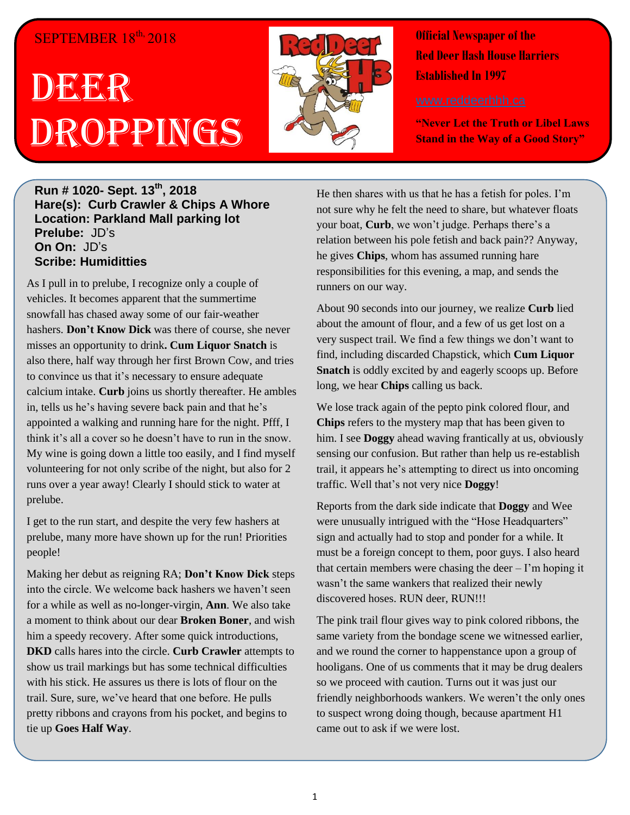# SEPTEMBER  $18^{\text{th}}$ , 2018

# DEGEER Droppings



**Official Newspaper of the Red Deer Hash House Harriers Established In 1997** 

**"Never Let the Truth or Libel Laws Stand in the Way of a Good Story"**

## **Run # 1020- Sept. 13th, 2018 Hare(s): Curb Crawler & Chips A Whore Location: Parkland Mall parking lot Prelube:** JD's **On On:** JD's **Scribe: Humiditties**

As I pull in to prelube, I recognize only a couple of vehicles. It becomes apparent that the summertime snowfall has chased away some of our fair-weather hashers. **Don't Know Dick** was there of course, she never misses an opportunity to drink**. Cum Liquor Snatch** is also there, half way through her first Brown Cow, and tries to convince us that it's necessary to ensure adequate calcium intake. **Curb** joins us shortly thereafter. He ambles in, tells us he's having severe back pain and that he's appointed a walking and running hare for the night. Pfff, I think it's all a cover so he doesn't have to run in the snow. My wine is going down a little too easily, and I find myself volunteering for not only scribe of the night, but also for 2 runs over a year away! Clearly I should stick to water at prelube.

I get to the run start, and despite the very few hashers at prelube, many more have shown up for the run! Priorities people!

Making her debut as reigning RA; **Don't Know Dick** steps into the circle. We welcome back hashers we haven't seen for a while as well as no-longer-virgin, **Ann**. We also take a moment to think about our dear **Broken Boner**, and wish him a speedy recovery. After some quick introductions, **DKD** calls hares into the circle. **Curb Crawler** attempts to show us trail markings but has some technical difficulties with his stick. He assures us there is lots of flour on the trail. Sure, sure, we've heard that one before. He pulls pretty ribbons and crayons from his pocket, and begins to tie up **Goes Half Way**.

He then shares with us that he has a fetish for poles. I'm not sure why he felt the need to share, but whatever floats your boat, **Curb**, we won't judge. Perhaps there's a relation between his pole fetish and back pain?? Anyway, he gives **Chips**, whom has assumed running hare responsibilities for this evening, a map, and sends the runners on our way.

About 90 seconds into our journey, we realize **Curb** lied about the amount of flour, and a few of us get lost on a very suspect trail. We find a few things we don't want to find, including discarded Chapstick, which **Cum Liquor Snatch** is oddly excited by and eagerly scoops up. Before long, we hear **Chips** calling us back.

We lose track again of the pepto pink colored flour, and **Chips** refers to the mystery map that has been given to him. I see **Doggy** ahead waving frantically at us, obviously sensing our confusion. But rather than help us re-establish trail, it appears he's attempting to direct us into oncoming traffic. Well that's not very nice **Doggy**!

Reports from the dark side indicate that **Doggy** and Wee were unusually intrigued with the "Hose Headquarters" sign and actually had to stop and ponder for a while. It must be a foreign concept to them, poor guys. I also heard that certain members were chasing the deer  $-1$ 'm hoping it wasn't the same wankers that realized their newly discovered hoses. RUN deer, RUN!!!

The pink trail flour gives way to pink colored ribbons, the same variety from the bondage scene we witnessed earlier, and we round the corner to happenstance upon a group of hooligans. One of us comments that it may be drug dealers so we proceed with caution. Turns out it was just our friendly neighborhoods wankers. We weren't the only ones to suspect wrong doing though, because apartment H1 came out to ask if we were lost.